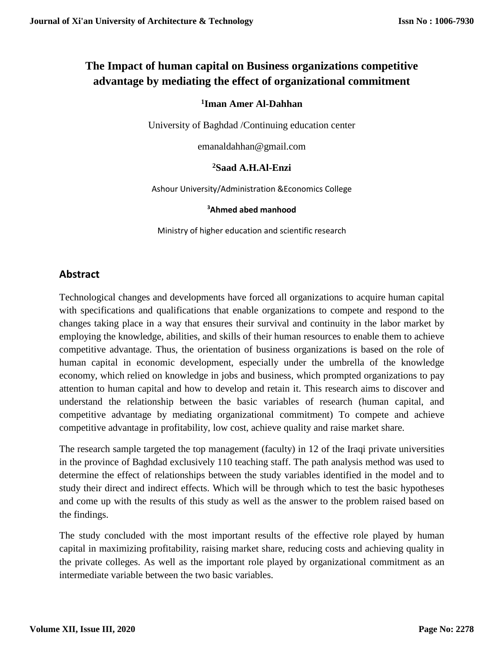# **The Impact of human capital on Business organizations competitive advantage by mediating the effect of organizational commitment**

## **1 Iman Amer Al-Dahhan**

University of Baghdad /Continuing education center

[emanaldahhan@gmail.com](mailto:emanaldahhan@gmail.com)

#### **<sup>2</sup>Saad A.H.Al-Enzi**

Ashour University/Administration &Economics College

#### **<sup>3</sup>Ahmed abed manhood**

Ministry of higher education and scientific research

# **Abstract**

Technological changes and developments have forced all organizations to acquire human capital with specifications and qualifications that enable organizations to compete and respond to the changes taking place in a way that ensures their survival and continuity in the labor market by employing the knowledge, abilities, and skills of their human resources to enable them to achieve competitive advantage. Thus, the orientation of business organizations is based on the role of human capital in economic development, especially under the umbrella of the knowledge economy, which relied on knowledge in jobs and business, which prompted organizations to pay attention to human capital and how to develop and retain it. This research aims to discover and understand the relationship between the basic variables of research (human capital, and competitive advantage by mediating organizational commitment) To compete and achieve competitive advantage in profitability, low cost, achieve quality and raise market share.

The research sample targeted the top management (faculty) in 12 of the Iraqi private universities in the province of Baghdad exclusively 110 teaching staff. The path analysis method was used to determine the effect of relationships between the study variables identified in the model and to study their direct and indirect effects. Which will be through which to test the basic hypotheses and come up with the results of this study as well as the answer to the problem raised based on the findings.

The study concluded with the most important results of the effective role played by human capital in maximizing profitability, raising market share, reducing costs and achieving quality in the private colleges. As well as the important role played by organizational commitment as an intermediate variable between the two basic variables.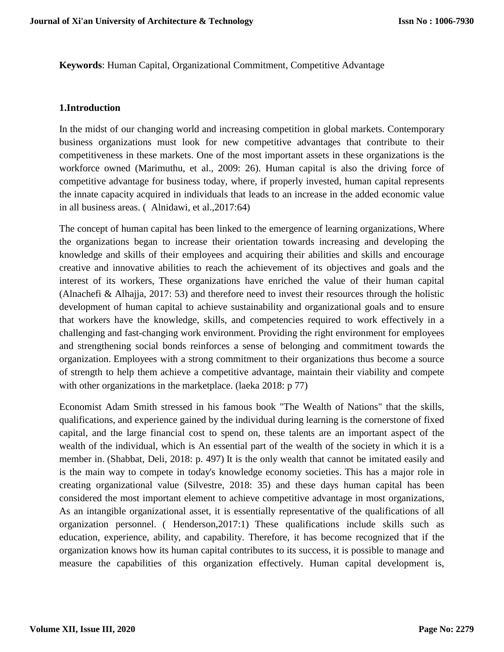**Keywords**: Human Capital, Organizational Commitment, Competitive Advantage

#### **1.Introduction**

In the midst of our changing world and increasing competition in global markets. Contemporary business organizations must look for new competitive advantages that contribute to their competitiveness in these markets. One of the most important assets in these organizations is the workforce owned (Marimuthu, et al., 2009: 26). Human capital is also the driving force of competitive advantage for business today, where, if properly invested, human capital represents the innate capacity acquired in individuals that leads to an increase in the added economic value in all business areas. ( Alnidawi, et al.,2017:64)

The concept of human capital has been linked to the emergence of learning organizations, Where the organizations began to increase their orientation towards increasing and developing the knowledge and skills of their employees and acquiring their abilities and skills and encourage creative and innovative abilities to reach the achievement of its objectives and goals and the interest of its workers, These organizations have enriched the value of their human capital (Alnachefi & Alhajja, 2017: 53) and therefore need to invest their resources through the holistic development of human capital to achieve sustainability and organizational goals and to ensure that workers have the knowledge, skills, and competencies required to work effectively in a challenging and fast-changing work environment. Providing the right environment for employees and strengthening social bonds reinforces a sense of belonging and commitment towards the organization. Employees with a strong commitment to their organizations thus become a source of strength to help them achieve a competitive advantage, maintain their viability and compete with other organizations in the marketplace. (laeka 2018: p 77)

Economist Adam Smith stressed in his famous book "The Wealth of Nations" that the skills, qualifications, and experience gained by the individual during learning is the cornerstone of fixed capital, and the large financial cost to spend on, these talents are an important aspect of the wealth of the individual, which is An essential part of the wealth of the society in which it is a member in. (Shabbat, Deli, 2018: p. 497) It is the only wealth that cannot be imitated easily and is the main way to compete in today's knowledge economy societies. This has a major role in creating organizational value (Silvestre, 2018: 35) and these days human capital has been considered the most important element to achieve competitive advantage in most organizations, As an intangible organizational asset, it is essentially representative of the qualifications of all organization personnel. ( Henderson,2017:1) These qualifications include skills such as education, experience, ability, and capability. Therefore, it has become recognized that if the organization knows how its human capital contributes to its success, it is possible to manage and measure the capabilities of this organization effectively. Human capital development is,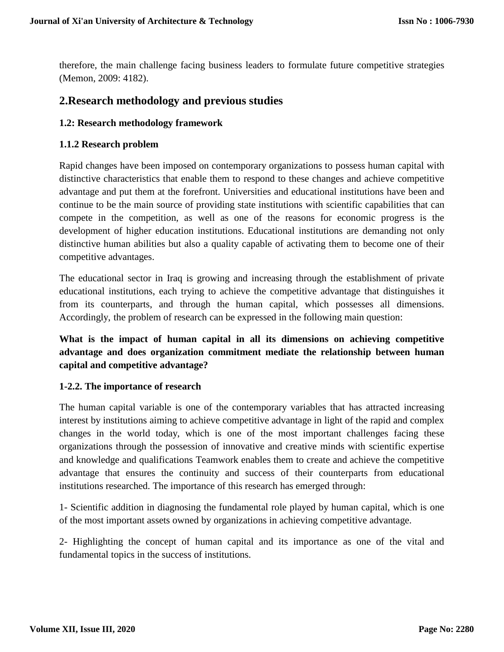therefore, the main challenge facing business leaders to formulate future competitive strategies (Memon, 2009: 4182).

# **2.Research methodology and previous studies**

#### **1.2: Research methodology framework**

#### **1.1.2 Research problem**

Rapid changes have been imposed on contemporary organizations to possess human capital with distinctive characteristics that enable them to respond to these changes and achieve competitive advantage and put them at the forefront. Universities and educational institutions have been and continue to be the main source of providing state institutions with scientific capabilities that can compete in the competition, as well as one of the reasons for economic progress is the development of higher education institutions. Educational institutions are demanding not only distinctive human abilities but also a quality capable of activating them to become one of their competitive advantages.

The educational sector in Iraq is growing and increasing through the establishment of private educational institutions, each trying to achieve the competitive advantage that distinguishes it from its counterparts, and through the human capital, which possesses all dimensions. Accordingly, the problem of research can be expressed in the following main question:

**What is the impact of human capital in all its dimensions on achieving competitive advantage and does organization commitment mediate the relationship between human capital and competitive advantage?**

#### **1-2.2. The importance of research**

The human capital variable is one of the contemporary variables that has attracted increasing interest by institutions aiming to achieve competitive advantage in light of the rapid and complex changes in the world today, which is one of the most important challenges facing these organizations through the possession of innovative and creative minds with scientific expertise and knowledge and qualifications Teamwork enables them to create and achieve the competitive advantage that ensures the continuity and success of their counterparts from educational institutions researched. The importance of this research has emerged through:

1- Scientific addition in diagnosing the fundamental role played by human capital, which is one of the most important assets owned by organizations in achieving competitive advantage.

2- Highlighting the concept of human capital and its importance as one of the vital and fundamental topics in the success of institutions.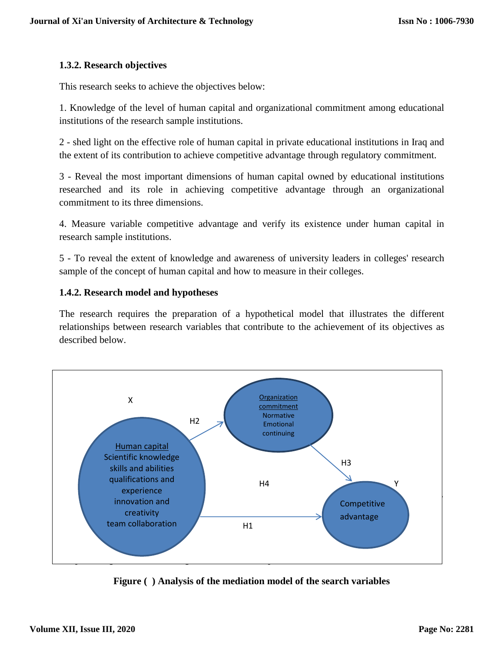## **1.3.2. Research objectives**

This research seeks to achieve the objectives below:

1. Knowledge of the level of human capital and organizational commitment among educational institutions of the research sample institutions.

2 - shed light on the effective role of human capital in private educational institutions in Iraq and the extent of its contribution to achieve competitive advantage through regulatory commitment.

3 - Reveal the most important dimensions of human capital owned by educational institutions researched and its role in achieving competitive advantage through an organizational commitment to its three dimensions.

4. Measure variable competitive advantage and verify its existence under human capital in research sample institutions.

5 - To reveal the extent of knowledge and awareness of university leaders in colleges' research sample of the concept of human capital and how to measure in their colleges.

### **1.4.2. Research model and hypotheses**

The research requires the preparation of a hypothetical model that illustrates the different relationships between research variables that contribute to the achievement of its objectives as described below.



**Figure ( ) Analysis of the mediation model of the search variables**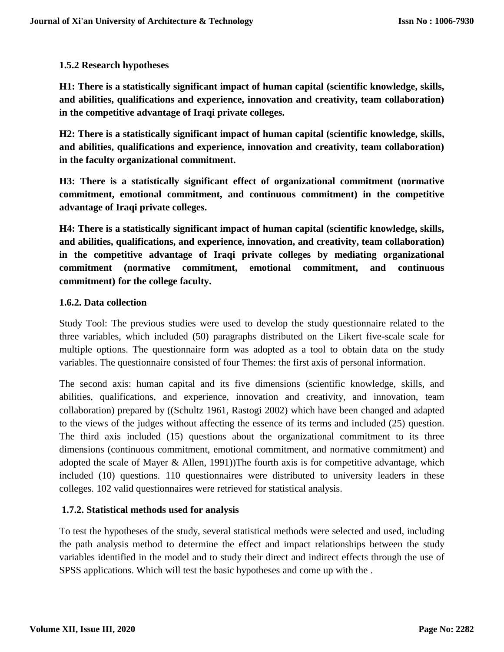## **1.5.2 Research hypotheses**

**H1: There is a statistically significant impact of human capital (scientific knowledge, skills, and abilities, qualifications and experience, innovation and creativity, team collaboration) in the competitive advantage of Iraqi private colleges.**

**H2: There is a statistically significant impact of human capital (scientific knowledge, skills, and abilities, qualifications and experience, innovation and creativity, team collaboration) in the faculty organizational commitment.**

**H3: There is a statistically significant effect of organizational commitment (normative commitment, emotional commitment, and continuous commitment) in the competitive advantage of Iraqi private colleges.**

**H4: There is a statistically significant impact of human capital (scientific knowledge, skills, and abilities, qualifications, and experience, innovation, and creativity, team collaboration) in the competitive advantage of Iraqi private colleges by mediating organizational commitment (normative commitment, emotional commitment, and continuous commitment) for the college faculty.**

### **1.6.2. Data collection**

Study Tool: The previous studies were used to develop the study questionnaire related to the three variables, which included (50) paragraphs distributed on the Likert five-scale scale for multiple options. The questionnaire form was adopted as a tool to obtain data on the study variables. The questionnaire consisted of four Themes: the first axis of personal information.

The second axis: human capital and its five dimensions (scientific knowledge, skills, and abilities, qualifications, and experience, innovation and creativity, and innovation, team collaboration) prepared by ((Schultz 1961, Rastogi 2002) which have been changed and adapted to the views of the judges without affecting the essence of its terms and included (25) question. The third axis included (15) questions about the organizational commitment to its three dimensions (continuous commitment, emotional commitment, and normative commitment) and adopted the scale of Mayer & Allen, 1991))The fourth axis is for competitive advantage, which included (10) questions. 110 questionnaires were distributed to university leaders in these colleges. 102 valid questionnaires were retrieved for statistical analysis.

# **1.7.2. Statistical methods used for analysis**

To test the hypotheses of the study, several statistical methods were selected and used, including the path analysis method to determine the effect and impact relationships between the study variables identified in the model and to study their direct and indirect effects through the use of SPSS applications. Which will test the basic hypotheses and come up with the .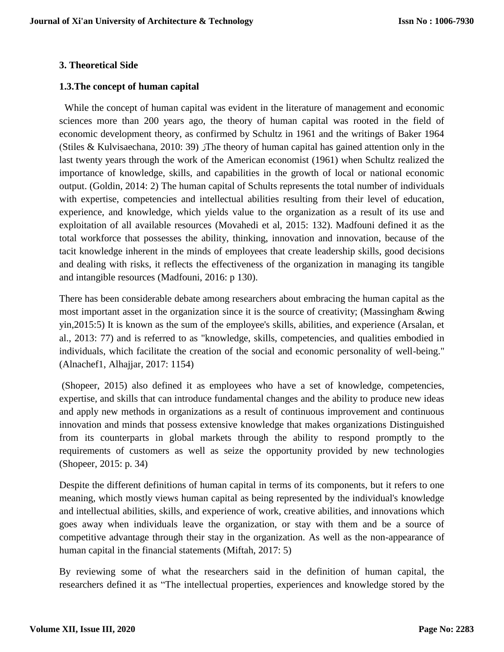#### **3. Theoretical Side**

#### **1.3.The concept of human capital**

While the concept of human capital was evident in the literature of management and economic sciences more than 200 years ago, the theory of human capital was rooted in the field of economic development theory, as confirmed by Schultz in 1961 and the writings of Baker 1964 (Stiles & Kulvisaechana, 2010: 39)  $\bar{J}$ The theory of human capital has gained attention only in the last twenty years through the work of the American economist (1961) when Schultz realized the importance of knowledge, skills, and capabilities in the growth of local or national economic output. (Goldin, 2014: 2) The human capital of Schults represents the total number of individuals with expertise, competencies and intellectual abilities resulting from their level of education, experience, and knowledge, which yields value to the organization as a result of its use and exploitation of all available resources (Movahedi et al, 2015: 132). Madfouni defined it as the total workforce that possesses the ability, thinking, innovation and innovation, because of the tacit knowledge inherent in the minds of employees that create leadership skills, good decisions and dealing with risks, it reflects the effectiveness of the organization in managing its tangible and intangible resources (Madfouni, 2016: p 130).

There has been considerable debate among researchers about embracing the human capital as the most important asset in the organization since it is the source of creativity; (Massingham &wing yin,2015:5) It is known as the sum of the employee's skills, abilities, and experience (Arsalan, et al., 2013: 77) and is referred to as "knowledge, skills, competencies, and qualities embodied in individuals, which facilitate the creation of the social and economic personality of well-being." (Alnachef1, Alhajjar, 2017: 1154)

(Shopeer, 2015) also defined it as employees who have a set of knowledge, competencies, expertise, and skills that can introduce fundamental changes and the ability to produce new ideas and apply new methods in organizations as a result of continuous improvement and continuous innovation and minds that possess extensive knowledge that makes organizations Distinguished from its counterparts in global markets through the ability to respond promptly to the requirements of customers as well as seize the opportunity provided by new technologies (Shopeer, 2015: p. 34)

Despite the different definitions of human capital in terms of its components, but it refers to one meaning, which mostly views human capital as being represented by the individual's knowledge and intellectual abilities, skills, and experience of work, creative abilities, and innovations which goes away when individuals leave the organization, or stay with them and be a source of competitive advantage through their stay in the organization. As well as the non-appearance of human capital in the financial statements (Miftah, 2017: 5)

By reviewing some of what the researchers said in the definition of human capital, the researchers defined it as "The intellectual properties, experiences and knowledge stored by the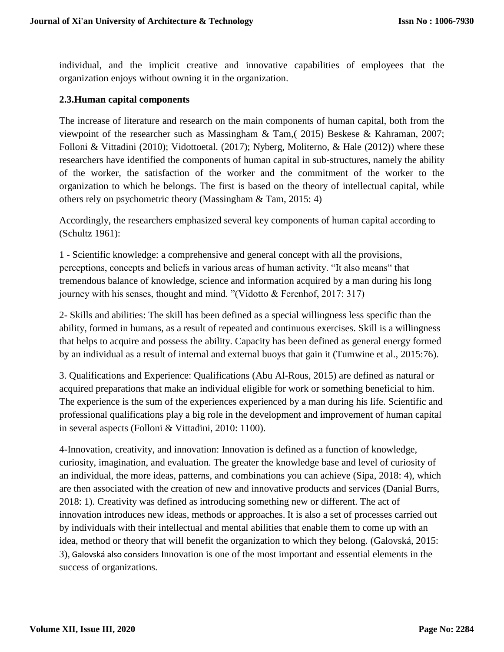individual, and the implicit creative and innovative capabilities of employees that the organization enjoys without owning it in the organization.

#### **2.3.Human capital components**

The increase of literature and research on the main components of human capital, both from the viewpoint of the researcher such as Massingham & Tam,( 2015) Beskese & Kahraman, 2007; Folloni & Vittadini (2010); Vidottoetal. (2017); Nyberg, Moliterno, & Hale (2012)) where these researchers have identified the components of human capital in sub-structures, namely the ability of the worker, the satisfaction of the worker and the commitment of the worker to the organization to which he belongs. The first is based on the theory of intellectual capital, while others rely on psychometric theory (Massingham & Tam, 2015: 4)

Accordingly, the researchers emphasized several key components of human capital according to (Schultz 1961):

1 - Scientific knowledge: a comprehensive and general concept with all the provisions, perceptions, concepts and beliefs in various areas of human activity. "It also means" that tremendous balance of knowledge, science and information acquired by a man during his long journey with his senses, thought and mind. "(Vidotto & Ferenhof, 2017: 317)

2- Skills and abilities: The skill has been defined as a special willingness less specific than the ability, formed in humans, as a result of repeated and continuous exercises. Skill is a willingness that helps to acquire and possess the ability. Capacity has been defined as general energy formed by an individual as a result of internal and external buoys that gain it (Tumwine et al., 2015:76).

3. Qualifications and Experience: Qualifications (Abu Al-Rous, 2015) are defined as natural or acquired preparations that make an individual eligible for work or something beneficial to him. The experience is the sum of the experiences experienced by a man during his life. Scientific and professional qualifications play a big role in the development and improvement of human capital in several aspects (Folloni & Vittadini, 2010: 1100).

4-Innovation, creativity, and innovation: Innovation is defined as a function of knowledge, curiosity, imagination, and evaluation. The greater the knowledge base and level of curiosity of an individual, the more ideas, patterns, and combinations you can achieve (Sipa, 2018: 4), which are then associated with the creation of new and innovative products and services (Danial Burrs, 2018: 1). Creativity was defined as introducing something new or different. The act of innovation introduces new ideas, methods or approaches. It is also a set of processes carried out by individuals with their intellectual and mental abilities that enable them to come up with an idea, method or theory that will benefit the organization to which they belong. (Galovská, 2015: 3), Galovská also considers Innovation is one of the most important and essential elements in the success of organizations.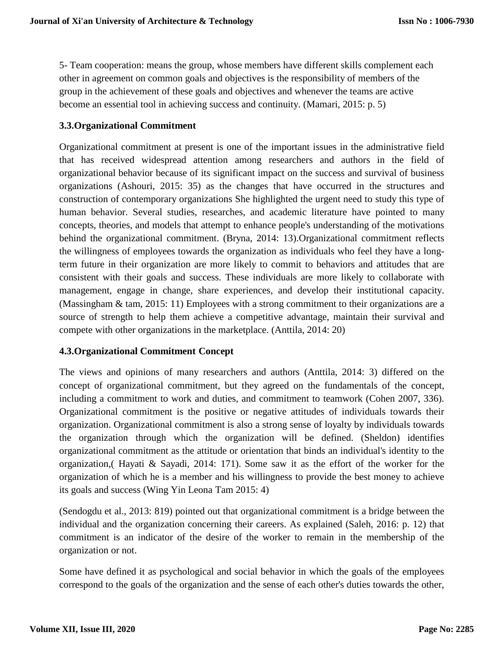5- Team cooperation: means the group, whose members have different skills complement each other in agreement on common goals and objectives is the responsibility of members of the group in the achievement of these goals and objectives and whenever the teams are active become an essential tool in achieving success and continuity. (Mamari, 2015: p. 5)

### **3.3.Organizational Commitment**

Organizational commitment at present is one of the important issues in the administrative field that has received widespread attention among researchers and authors in the field of organizational behavior because of its significant impact on the success and survival of business organizations (Ashouri, 2015: 35) as the changes that have occurred in the structures and construction of contemporary organizations She highlighted the urgent need to study this type of human behavior. Several studies, researches, and academic literature have pointed to many concepts, theories, and models that attempt to enhance people's understanding of the motivations behind the organizational commitment. (Bryna, 2014: 13).Organizational commitment reflects the willingness of employees towards the organization as individuals who feel they have a longterm future in their organization are more likely to commit to behaviors and attitudes that are consistent with their goals and success. These individuals are more likely to collaborate with management, engage in change, share experiences, and develop their institutional capacity. (Massingham & tam, 2015: 11) Employees with a strong commitment to their organizations are a source of strength to help them achieve a competitive advantage, maintain their survival and compete with other organizations in the marketplace. (Anttila, 2014: 20)

# **4.3.Organizational Commitment Concept**

The views and opinions of many researchers and authors (Anttila, 2014: 3) differed on the concept of organizational commitment, but they agreed on the fundamentals of the concept, including a commitment to work and duties, and commitment to teamwork (Cohen 2007, 336). Organizational commitment is the positive or negative attitudes of individuals towards their organization. Organizational commitment is also a strong sense of loyalty by individuals towards the organization through which the organization will be defined. (Sheldon) identifies organizational commitment as the attitude or orientation that binds an individual's identity to the organization,( Hayati & Sayadi, 2014: 171). Some saw it as the effort of the worker for the organization of which he is a member and his willingness to provide the best money to achieve its goals and success (Wing Yin Leona Tam 2015: 4)

(Sendogdu et al., 2013: 819) pointed out that organizational commitment is a bridge between the individual and the organization concerning their careers. As explained (Saleh, 2016: p. 12) that commitment is an indicator of the desire of the worker to remain in the membership of the organization or not.

Some have defined it as psychological and social behavior in which the goals of the employees correspond to the goals of the organization and the sense of each other's duties towards the other,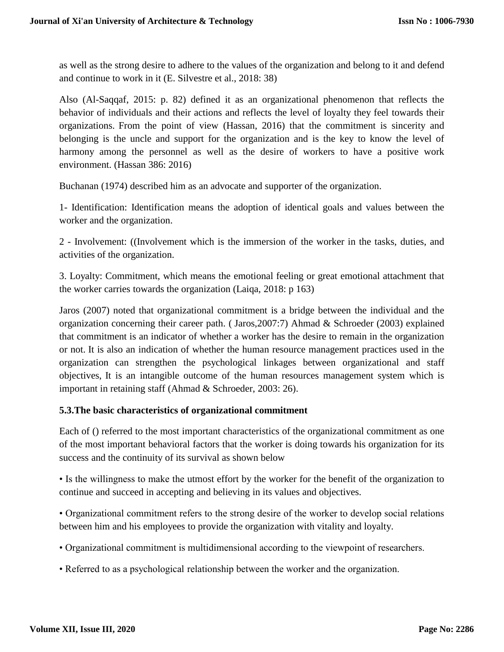as well as the strong desire to adhere to the values of the organization and belong to it and defend and continue to work in it (E. Silvestre et al., 2018: 38)

Also (Al-Saqqaf, 2015: p. 82) defined it as an organizational phenomenon that reflects the behavior of individuals and their actions and reflects the level of loyalty they feel towards their organizations. From the point of view (Hassan, 2016) that the commitment is sincerity and belonging is the uncle and support for the organization and is the key to know the level of harmony among the personnel as well as the desire of workers to have a positive work environment. (Hassan 386: 2016)

Buchanan (1974) described him as an advocate and supporter of the organization.

1- Identification: Identification means the adoption of identical goals and values between the worker and the organization.

2 - Involvement: ((Involvement which is the immersion of the worker in the tasks, duties, and activities of the organization.

3. Loyalty: Commitment, which means the emotional feeling or great emotional attachment that the worker carries towards the organization (Laiqa, 2018: p 163)

Jaros (2007) noted that organizational commitment is a bridge between the individual and the organization concerning their career path. ( Jaros,2007:7) Ahmad & Schroeder (2003) explained that commitment is an indicator of whether a worker has the desire to remain in the organization or not. It is also an indication of whether the human resource management practices used in the organization can strengthen the psychological linkages between organizational and staff objectives, It is an intangible outcome of the human resources management system which is important in retaining staff (Ahmad & Schroeder, 2003: 26).

#### **5.3.The basic characteristics of organizational commitment**

Each of () referred to the most important characteristics of the organizational commitment as one of the most important behavioral factors that the worker is doing towards his organization for its success and the continuity of its survival as shown below

• Is the willingness to make the utmost effort by the worker for the benefit of the organization to continue and succeed in accepting and believing in its values and objectives.

• Organizational commitment refers to the strong desire of the worker to develop social relations between him and his employees to provide the organization with vitality and loyalty.

- Organizational commitment is multidimensional according to the viewpoint of researchers.
- Referred to as a psychological relationship between the worker and the organization.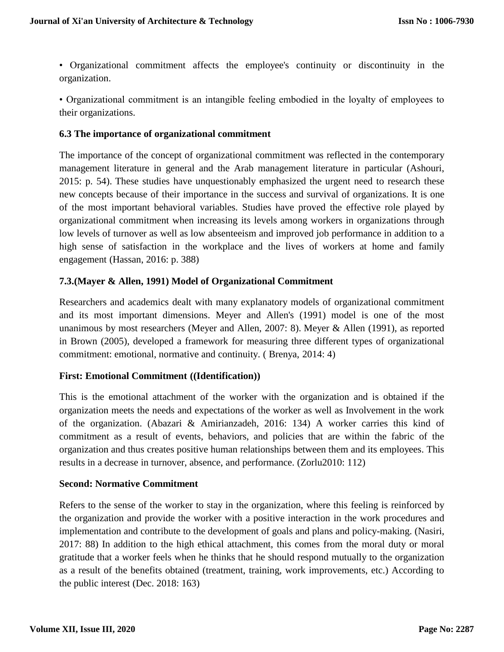• Organizational commitment affects the employee's continuity or discontinuity in the organization.

• Organizational commitment is an intangible feeling embodied in the loyalty of employees to their organizations.

#### **6.3 The importance of organizational commitment**

The importance of the concept of organizational commitment was reflected in the contemporary management literature in general and the Arab management literature in particular (Ashouri, 2015: p. 54). These studies have unquestionably emphasized the urgent need to research these new concepts because of their importance in the success and survival of organizations. It is one of the most important behavioral variables. Studies have proved the effective role played by organizational commitment when increasing its levels among workers in organizations through low levels of turnover as well as low absenteeism and improved job performance in addition to a high sense of satisfaction in the workplace and the lives of workers at home and family engagement (Hassan, 2016: p. 388)

### **7.3.(Mayer & Allen, 1991) Model of Organizational Commitment**

Researchers and academics dealt with many explanatory models of organizational commitment and its most important dimensions. Meyer and Allen's (1991) model is one of the most unanimous by most researchers (Meyer and Allen, 2007: 8). Meyer & Allen (1991), as reported in Brown (2005), developed a framework for measuring three different types of organizational commitment: emotional, normative and continuity. ( Brenya, 2014: 4)

#### **First: Emotional Commitment ((Identification))**

This is the emotional attachment of the worker with the organization and is obtained if the organization meets the needs and expectations of the worker as well as Involvement in the work of the organization. (Abazari & Amirianzadeh, 2016: 134) A worker carries this kind of commitment as a result of events, behaviors, and policies that are within the fabric of the organization and thus creates positive human relationships between them and its employees. This results in a decrease in turnover, absence, and performance. (Zorlu2010: 112)

#### **Second: Normative Commitment**

Refers to the sense of the worker to stay in the organization, where this feeling is reinforced by the organization and provide the worker with a positive interaction in the work procedures and implementation and contribute to the development of goals and plans and policy-making. (Nasiri, 2017: 88) In addition to the high ethical attachment, this comes from the moral duty or moral gratitude that a worker feels when he thinks that he should respond mutually to the organization as a result of the benefits obtained (treatment, training, work improvements, etc.) According to the public interest (Dec. 2018: 163)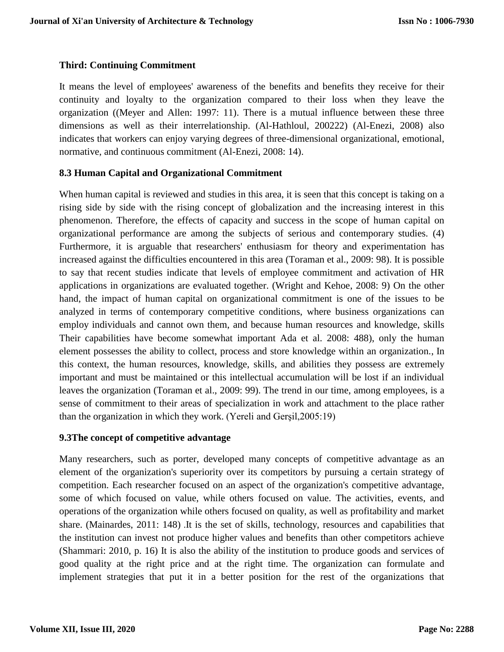## **Third: Continuing Commitment**

It means the level of employees' awareness of the benefits and benefits they receive for their continuity and loyalty to the organization compared to their loss when they leave the organization ((Meyer and Allen: 1997: 11). There is a mutual influence between these three dimensions as well as their interrelationship. (Al-Hathloul, 200222) (Al-Enezi, 2008) also indicates that workers can enjoy varying degrees of three-dimensional organizational, emotional, normative, and continuous commitment (Al-Enezi, 2008: 14).

### **8.3 Human Capital and Organizational Commitment**

When human capital is reviewed and studies in this area, it is seen that this concept is taking on a rising side by side with the rising concept of globalization and the increasing interest in this phenomenon. Therefore, the effects of capacity and success in the scope of human capital on organizational performance are among the subjects of serious and contemporary studies. (4) Furthermore, it is arguable that researchers' enthusiasm for theory and experimentation has increased against the difficulties encountered in this area (Toraman et al., 2009: 98). It is possible to say that recent studies indicate that levels of employee commitment and activation of HR applications in organizations are evaluated together. (Wright and Kehoe, 2008: 9) On the other hand, the impact of human capital on organizational commitment is one of the issues to be analyzed in terms of contemporary competitive conditions, where business organizations can employ individuals and cannot own them, and because human resources and knowledge, skills Their capabilities have become somewhat important Ada et al. 2008: 488), only the human element possesses the ability to collect, process and store knowledge within an organization., In this context, the human resources, knowledge, skills, and abilities they possess are extremely important and must be maintained or this intellectual accumulation will be lost if an individual leaves the organization (Toraman et al., 2009: 99). The trend in our time, among employees, is a sense of commitment to their areas of specialization in work and attachment to the place rather than the organization in which they work. (Yereli and Gerşil,2005:19)

# **9.3The concept of competitive advantage**

Many researchers, such as porter, developed many concepts of competitive advantage as an element of the organization's superiority over its competitors by pursuing a certain strategy of competition. Each researcher focused on an aspect of the organization's competitive advantage, some of which focused on value, while others focused on value. The activities, events, and operations of the organization while others focused on quality, as well as profitability and market share. (Mainardes, 2011: 148) .It is the set of skills, technology, resources and capabilities that the institution can invest not produce higher values and benefits than other competitors achieve (Shammari: 2010, p. 16) It is also the ability of the institution to produce goods and services of good quality at the right price and at the right time. The organization can formulate and implement strategies that put it in a better position for the rest of the organizations that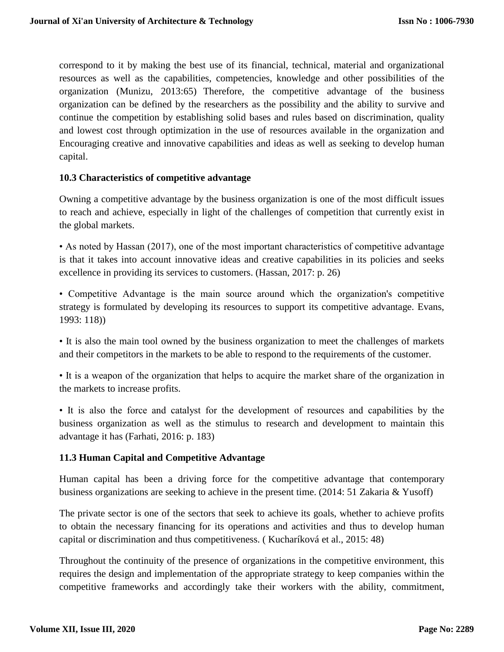correspond to it by making the best use of its financial, technical, material and organizational resources as well as the capabilities, competencies, knowledge and other possibilities of the organization (Munizu, 2013:65) Therefore, the competitive advantage of the business organization can be defined by the researchers as the possibility and the ability to survive and continue the competition by establishing solid bases and rules based on discrimination, quality and lowest cost through optimization in the use of resources available in the organization and Encouraging creative and innovative capabilities and ideas as well as seeking to develop human capital.

### **10.3 Characteristics of competitive advantage**

Owning a competitive advantage by the business organization is one of the most difficult issues to reach and achieve, especially in light of the challenges of competition that currently exist in the global markets.

• As noted by Hassan (2017), one of the most important characteristics of competitive advantage is that it takes into account innovative ideas and creative capabilities in its policies and seeks excellence in providing its services to customers. (Hassan, 2017: p. 26)

• Competitive Advantage is the main source around which the organization's competitive strategy is formulated by developing its resources to support its competitive advantage. Evans, 1993: 118))

• It is also the main tool owned by the business organization to meet the challenges of markets and their competitors in the markets to be able to respond to the requirements of the customer.

• It is a weapon of the organization that helps to acquire the market share of the organization in the markets to increase profits.

• It is also the force and catalyst for the development of resources and capabilities by the business organization as well as the stimulus to research and development to maintain this advantage it has (Farhati, 2016: p. 183)

# **11.3 Human Capital and Competitive Advantage**

Human capital has been a driving force for the competitive advantage that contemporary business organizations are seeking to achieve in the present time. (2014: 51 Zakaria & Yusoff)

The private sector is one of the sectors that seek to achieve its goals, whether to achieve profits to obtain the necessary financing for its operations and activities and thus to develop human capital or discrimination and thus competitiveness. ( Kucharíková et al., 2015: 48)

Throughout the continuity of the presence of organizations in the competitive environment, this requires the design and implementation of the appropriate strategy to keep companies within the competitive frameworks and accordingly take their workers with the ability, commitment,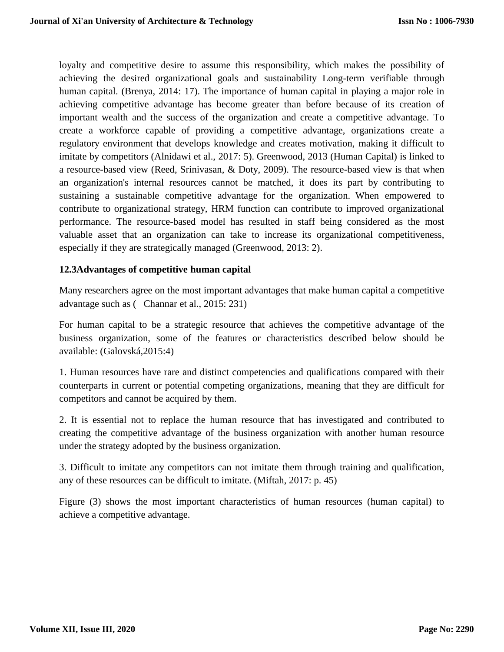loyalty and competitive desire to assume this responsibility, which makes the possibility of achieving the desired organizational goals and sustainability Long-term verifiable through human capital. (Brenya, 2014: 17). The importance of human capital in playing a major role in achieving competitive advantage has become greater than before because of its creation of important wealth and the success of the organization and create a competitive advantage. To create a workforce capable of providing a competitive advantage, organizations create a regulatory environment that develops knowledge and creates motivation, making it difficult to imitate by competitors (Alnidawi et al., 2017: 5). Greenwood, 2013 (Human Capital) is linked to a resource-based view (Reed, Srinivasan, & Doty, 2009). The resource-based view is that when an organization's internal resources cannot be matched, it does its part by contributing to sustaining a sustainable competitive advantage for the organization. When empowered to contribute to organizational strategy, HRM function can contribute to improved organizational performance. The resource-based model has resulted in staff being considered as the most valuable asset that an organization can take to increase its organizational competitiveness, especially if they are strategically managed (Greenwood, 2013: 2).

### **12.3Advantages of competitive human capital**

Many researchers agree on the most important advantages that make human capital a competitive advantage such as ( Channar et al., 2015: 231)

For human capital to be a strategic resource that achieves the competitive advantage of the business organization, some of the features or characteristics described below should be available: (Galovská,2015:4)

1. Human resources have rare and distinct competencies and qualifications compared with their counterparts in current or potential competing organizations, meaning that they are difficult for competitors and cannot be acquired by them.

2. It is essential not to replace the human resource that has investigated and contributed to creating the competitive advantage of the business organization with another human resource under the strategy adopted by the business organization.

3. Difficult to imitate any competitors can not imitate them through training and qualification, any of these resources can be difficult to imitate. (Miftah, 2017: p. 45)

Figure (3) shows the most important characteristics of human resources (human capital) to achieve a competitive advantage.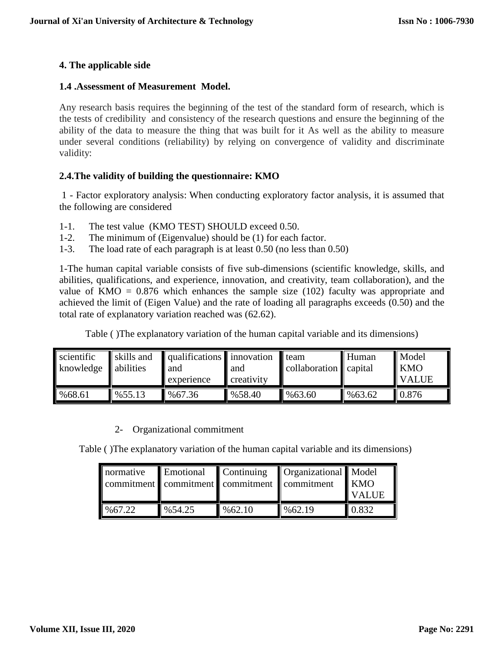### **4. The applicable side**

#### **1.4 .Assessment of Measurement Model.**

Any research basis requires the beginning of the test of the standard form of research, which is the tests of credibility and consistency of the research questions and ensure the beginning of the ability of the data to measure the thing that was built for it As well as the ability to measure under several conditions (reliability) by relying on convergence of validity and discriminate validity:

### **2.4.The validity of building the questionnaire: KMO**

1 - Factor exploratory analysis: When conducting exploratory factor analysis, it is assumed that the following are considered

- 1-1. The test value (KMO TEST) SHOULD exceed 0.50.
- 1-2. The minimum of (Eigenvalue) should be (1) for each factor.
- 1-3. The load rate of each paragraph is at least 0.50 (no less than 0.50)

1-The human capital variable consists of five sub-dimensions (scientific knowledge, skills, and abilities, qualifications, and experience, innovation, and creativity, team collaboration), and the value of KMO =  $0.876$  which enhances the sample size (102) faculty was appropriate and achieved the limit of (Eigen Value) and the rate of loading all paragraphs exceeds (0.50) and the total rate of explanatory variation reached was (62.62).

| Table () The explanatory variation of the human capital variable and its dimensions) |  |  |  |
|--------------------------------------------------------------------------------------|--|--|--|
|--------------------------------------------------------------------------------------|--|--|--|

| scientific<br>knowledge | skills and<br>abilities | $\ $ qualifications $\ $ innovation<br>and<br>experience | and<br>creativity | $\blacksquare$ team<br>collaboration capital | Human  | Model<br><b>KMO</b><br><b>VALUE</b> |
|-------------------------|-------------------------|----------------------------------------------------------|-------------------|----------------------------------------------|--------|-------------------------------------|
| %68.61                  | %55.13                  | %67.36                                                   | %58.40            | $\frac{9663.60}{2}$                          | %63.62 | 0.876                               |

#### 2- Organizational commitment

Table ( )The explanatory variation of the human capital variable and its dimensions)

| normative | <b>Emotional</b> | commitment commitment commitment commitment | Continuing Creanizational Model | <b>KMO</b><br><b>VALUE</b> |
|-----------|------------------|---------------------------------------------|---------------------------------|----------------------------|
| %67.22    | %54.25           | %62.10                                      | %62.19                          | 0.832                      |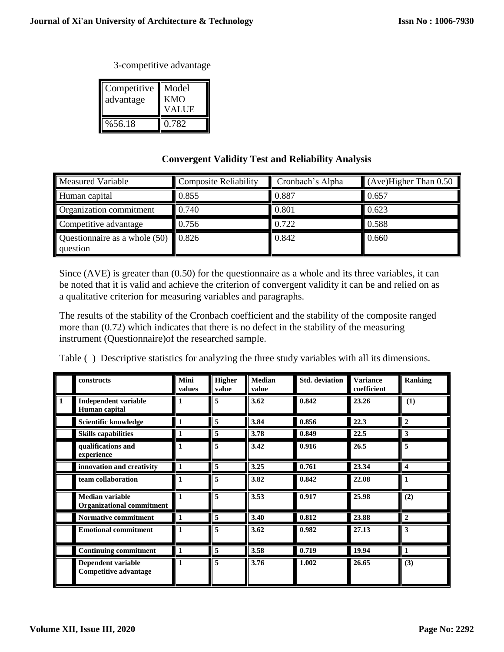#### 3-competitive advantage

| Competitive<br>advantage | Model<br>KMO<br>VALUE |
|--------------------------|-----------------------|
| %56.18                   | 0.782                 |

# **Convergent Validity Test and Reliability Analysis**

| <b>Measured Variable</b>                            | <b>Composite Reliability</b> | Cronbach's Alpha | $(Ave)$ Higher Than 0.50 |  |
|-----------------------------------------------------|------------------------------|------------------|--------------------------|--|
| Human capital                                       | 0.855                        | 0.887            | 0.657                    |  |
| Organization commitment                             | 0.740                        | 0.801            | 0.623                    |  |
| Competitive advantage                               | 0.756                        | 0.722            | 0.588                    |  |
| Questionnaire as a whole $(50)$   0.826<br>question |                              | 0.842            | 0.660                    |  |

Since (AVE) is greater than (0.50) for the questionnaire as a whole and its three variables, it can be noted that it is valid and achieve the criterion of convergent validity it can be and relied on as a qualitative criterion for measuring variables and paragraphs.

The results of the stability of the Cronbach coefficient and the stability of the composite ranged more than (0.72) which indicates that there is no defect in the stability of the measuring instrument (Questionnaire)of the researched sample.

Table ( ) Descriptive statistics for analyzing the three study variables with all its dimensions.

|   | constructs                                                 | Mini<br>values | <b>Higher</b><br>value | <b>Median</b><br>value | <b>Std.</b> deviation | <b>Variance</b><br>coefficient | <b>Ranking</b>          |
|---|------------------------------------------------------------|----------------|------------------------|------------------------|-----------------------|--------------------------------|-------------------------|
| 1 | <b>Independent variable</b><br>Human capital               | 1              | 5                      | 3.62                   | 0.842                 | 23.26                          | (1)                     |
|   | Scientific knowledge                                       |                | 5                      | 3.84                   | 0.856                 | 22.3                           | $\overline{2}$          |
|   | <b>Skills capabilities</b>                                 |                | 5                      | 3.78                   | 0.849                 | 22.5                           | 3                       |
|   | qualifications and<br>experience                           | 1              | 5                      | 3.42                   | 0.916                 | 26.5                           | 5                       |
|   | innovation and creativity                                  |                | 5                      | 3.25                   | 0.761                 | 23.34                          | $\overline{\mathbf{4}}$ |
|   | team collaboration                                         |                | 5                      | 3.82                   | 0.842                 | 22.08                          |                         |
|   | <b>Median variable</b><br><b>Organizational commitment</b> |                | 5                      | 3.53                   | 0.917                 | 25.98                          | (2)                     |
|   | Normative commitment                                       | 1              | 5                      | 3.40                   | 0.812                 | 23.88                          | $\overline{2}$          |
|   | <b>Emotional commitment</b>                                |                | 5                      | 3.62                   | 0.982                 | 27.13                          | 3                       |
|   | <b>Continuing commitment</b>                               | 1              | 5                      | 3.58                   | 0.719                 | 19.94                          | $\mathbf{1}$            |
|   | Dependent variable<br><b>Competitive advantage</b>         |                | 5                      | 3.76                   | 1.002                 | 26.65                          | (3)                     |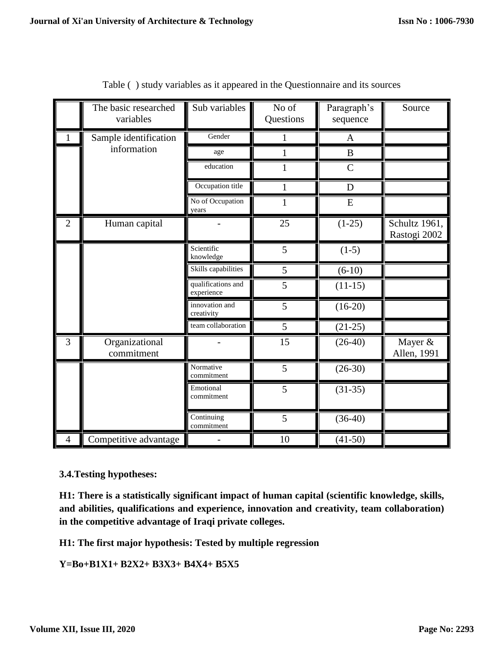|                | The basic researched<br>variables | Sub variables                    | No of<br>Questions | Paragraph's<br>sequence | Source                        |
|----------------|-----------------------------------|----------------------------------|--------------------|-------------------------|-------------------------------|
| $\mathbf{1}$   | Sample identification             | Gender                           | 1                  | A                       |                               |
|                | information                       | age                              | 1                  | B                       |                               |
|                |                                   | education                        | 1                  | $\mathcal{C}$           |                               |
|                |                                   | Occupation title                 | $\mathbf{1}$       | D                       |                               |
|                |                                   | No of Occupation<br>years        | $\mathbf{1}$       | E                       |                               |
| $\overline{2}$ | Human capital                     |                                  | 25                 | $(1-25)$                | Schultz 1961,<br>Rastogi 2002 |
|                |                                   | Scientific<br>knowledge          | 5                  | $(1-5)$                 |                               |
|                |                                   | Skills capabilities              | 5                  | $(6-10)$                |                               |
|                |                                   | qualifications and<br>experience | 5                  | $(11-15)$               |                               |
|                |                                   | innovation and<br>creativity     | 5                  | $(16-20)$               |                               |
|                |                                   | team collaboration               | 5                  | $(21-25)$               |                               |
| 3              | Organizational<br>commitment      |                                  | 15                 | $(26-40)$               | Mayer &<br>Allen, 1991        |
|                |                                   | Normative<br>commitment          | $\overline{5}$     | $(26-30)$               |                               |
|                |                                   | Emotional<br>commitment          | $\overline{5}$     | $(31-35)$               |                               |
|                |                                   | Continuing<br>commitment         | 5                  | $(36-40)$               |                               |
| $\overline{4}$ | Competitive advantage             |                                  | 10                 | $(41-50)$               |                               |

Table ( ) study variables as it appeared in the Questionnaire and its sources

**3.4.Testing hypotheses:**

**H1: There is a statistically significant impact of human capital (scientific knowledge, skills, and abilities, qualifications and experience, innovation and creativity, team collaboration) in the competitive advantage of Iraqi private colleges.**

**H1: The first major hypothesis: Tested by multiple regression**

**Y=Bo+B1X1+ B2X2+ B3X3+ B4X4+ B5X5**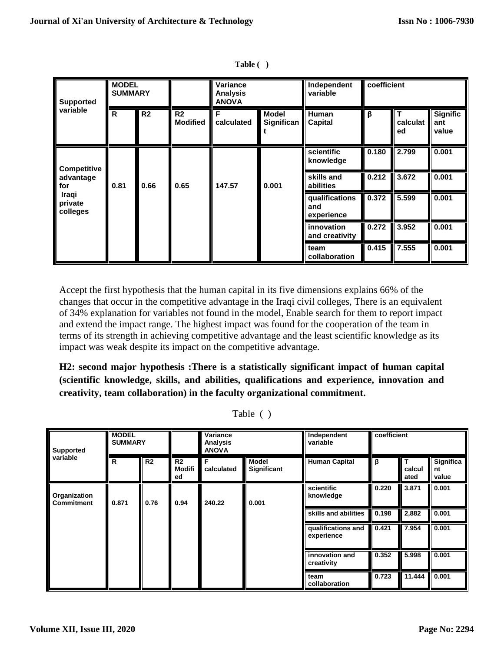| <b>Supported</b>             | <b>MODEL</b><br><b>SUMMARY</b> |                |                                   | Variance<br><b>Analysis</b><br><b>ANOVA</b> |                            | Independent<br>variable             |       | coefficient                   |                                 |
|------------------------------|--------------------------------|----------------|-----------------------------------|---------------------------------------------|----------------------------|-------------------------------------|-------|-------------------------------|---------------------------------|
| variable                     | R                              | R <sub>2</sub> | R <sub>2</sub><br><b>Modified</b> | F<br>calculated                             | <b>Model</b><br>Significan | Human<br>Capital                    | β     | $\mathbf T$<br>calculat<br>ed | <b>Signific</b><br>ant<br>value |
| Competitive                  |                                |                |                                   |                                             |                            | scientific<br>knowledge             | 0.180 | 2.799                         | 0.001                           |
| advantage<br>for             | 0.81                           | 0.66           | 0.65                              | 147.57                                      | 0.001                      | skills and<br>abilities             | 0.212 | 3.672                         | 0.001                           |
| Iraqi<br>private<br>colleges |                                |                |                                   |                                             |                            | qualifications<br>and<br>experience | 0.372 | 5.599                         | 0.001                           |
|                              |                                |                |                                   |                                             |                            | innovation<br>and creativity        | 0.272 | 3.952                         | 0.001                           |
|                              |                                |                |                                   |                                             |                            | team<br>collaboration               | 0.415 | 7.555                         | 0.001                           |

**Table ( )**

Accept the first hypothesis that the human capital in its five dimensions explains 66% of the changes that occur in the competitive advantage in the Iraqi civil colleges, There is an equivalent of 34% explanation for variables not found in the model, Enable search for them to report impact and extend the impact range. The highest impact was found for the cooperation of the team in terms of its strength in achieving competitive advantage and the least scientific knowledge as its impact was weak despite its impact on the competitive advantage.

**H2: second major hypothesis :There is a statistically significant impact of human capital (scientific knowledge, skills, and abilities, qualifications and experience, innovation and creativity, team collaboration) in the faculty organizational commitment.**

Table ( )

| Supported                         | <b>MODEL</b><br><b>SUMMARY</b> |                |                                | Variance<br>Analysis<br>ANOVA |                             | Independent<br>variable          | coefficient |                     |                          |
|-----------------------------------|--------------------------------|----------------|--------------------------------|-------------------------------|-----------------------------|----------------------------------|-------------|---------------------|--------------------------|
| variable                          | R                              | R <sub>2</sub> | R <sub>2</sub><br>Modifi<br>ed | F<br>calculated               | Model<br><b>Significant</b> | <b>Human Capital</b>             | β           | т<br>calcul<br>ated | Significa<br>nt<br>value |
| Organization<br><b>Commitment</b> | 0.871                          | 0.76           | 0.94                           | 240.22                        | 0.001                       | scientific<br>knowledge          | 0.220       | 3.871               | 0.001                    |
|                                   |                                |                |                                |                               |                             | skills and abilities             | 0.198       | 2,882               | 0.001                    |
|                                   |                                |                |                                |                               |                             | qualifications and<br>experience | 0.421       | 7.954               | 0.001                    |
|                                   |                                |                |                                |                               |                             | innovation and<br>creativity     | 0.352       | 5.998               | 0.001                    |
|                                   |                                |                |                                |                               |                             | team<br>collaboration            | 0.723       | 11.444              | 0.001                    |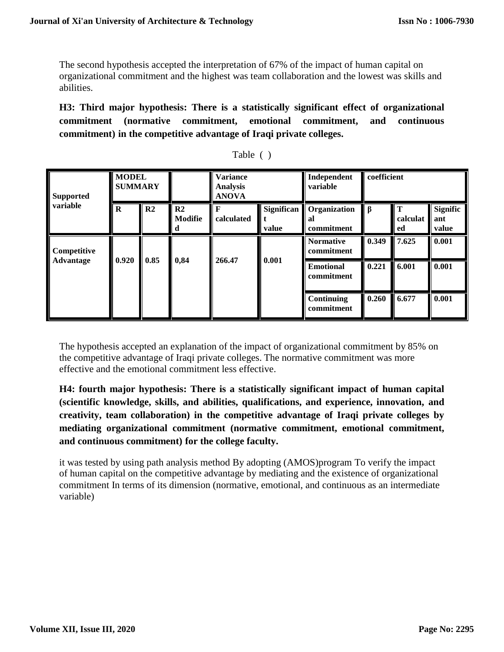The second hypothesis accepted the interpretation of 67% of the impact of human capital on organizational commitment and the highest was team collaboration and the lowest was skills and abilities.

**H3: Third major hypothesis: There is a statistically significant effect of organizational commitment (normative commitment, emotional commitment, and continuous commitment) in the competitive advantage of Iraqi private colleges.**

| <b>Supported</b> | <b>MODEL</b><br><b>SUMMARY</b> |      |                          | <b>Variance</b><br><b>Analysis</b><br><b>ANOVA</b> |                            | Independent<br>variable          | coefficient |                               |                                 |
|------------------|--------------------------------|------|--------------------------|----------------------------------------------------|----------------------------|----------------------------------|-------------|-------------------------------|---------------------------------|
| variable         | R                              | R2   | $\mathbf{R2}$<br>Modifie | F<br>calculated                                    | <b>Significan</b><br>value | Organization<br>al<br>commitment | Iβ          | $\mathbf T$<br>calculat<br>ed | <b>Signific</b><br>ant<br>value |
| Competitive      |                                |      |                          |                                                    |                            | <b>Normative</b><br>commitment   | 0.349       | 7.625                         | 0.001                           |
| Advantage        | 0.920                          | 0.85 | 0,84                     | 266.47                                             | 0.001                      | <b>Emotional</b><br>commitment   | 0.221       | 6.001                         | 0.001                           |
|                  |                                |      |                          |                                                    |                            | Continuing<br>commitment         | 0.260       | 6.677                         | 0.001                           |

| <b>Table</b> |  |  |
|--------------|--|--|
|              |  |  |

The hypothesis accepted an explanation of the impact of organizational commitment by 85% on the competitive advantage of Iraqi private colleges. The normative commitment was more effective and the emotional commitment less effective.

**H4: fourth major hypothesis: There is a statistically significant impact of human capital (scientific knowledge, skills, and abilities, qualifications, and experience, innovation, and creativity, team collaboration) in the competitive advantage of Iraqi private colleges by mediating organizational commitment (normative commitment, emotional commitment, and continuous commitment) for the college faculty.**

it was tested by using path analysis method By adopting (AMOS)program To verify the impact of human capital on the competitive advantage by mediating and the existence of organizational commitment In terms of its dimension (normative, emotional, and continuous as an intermediate variable)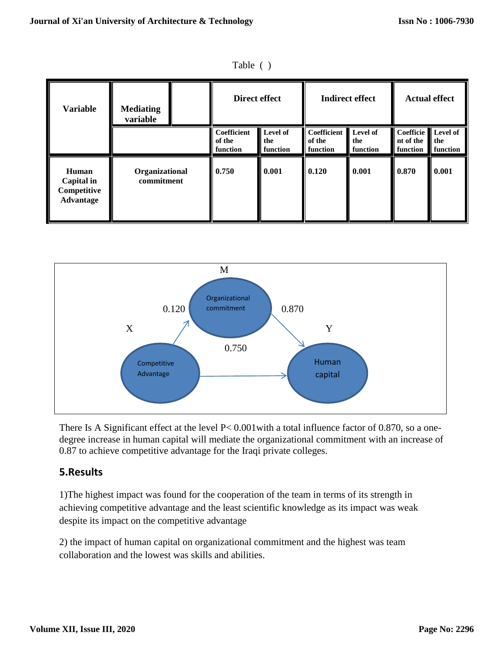| 'able |  |
|-------|--|
|       |  |

| <b>Variable</b>                                 | <b>Mediating</b><br>variable |  | Direct effect                     |                             | <b>Indirect effect</b>            |                             | <b>Actual effect</b>                        |                 |
|-------------------------------------------------|------------------------------|--|-----------------------------------|-----------------------------|-----------------------------------|-----------------------------|---------------------------------------------|-----------------|
|                                                 |                              |  | Coefficient<br>of the<br>function | Level of<br>the<br>function | Coefficient<br>of the<br>function | Level of<br>the<br>function | Coefficie Level of<br>nt of the<br>function | the<br>function |
| Human<br>Capital in<br>Competitive<br>Advantage | Organizational<br>commitment |  | 0.750                             | 0.001                       | 0.120                             | 0.001                       | 0.870                                       | 0.001           |



There Is A Significant effect at the level P< 0.001with a total influence factor of 0.870, so a onedegree increase in human capital will mediate the organizational commitment with an increase of 0.87 to achieve competitive advantage for the Iraqi private colleges.

# **5.Results**

1)The highest impact was found for the cooperation of the team in terms of its strength in achieving competitive advantage and the least scientific knowledge as its impact was weak despite its impact on the competitive advantage

2) the impact of human capital on organizational commitment and the highest was team collaboration and the lowest was skills and abilities.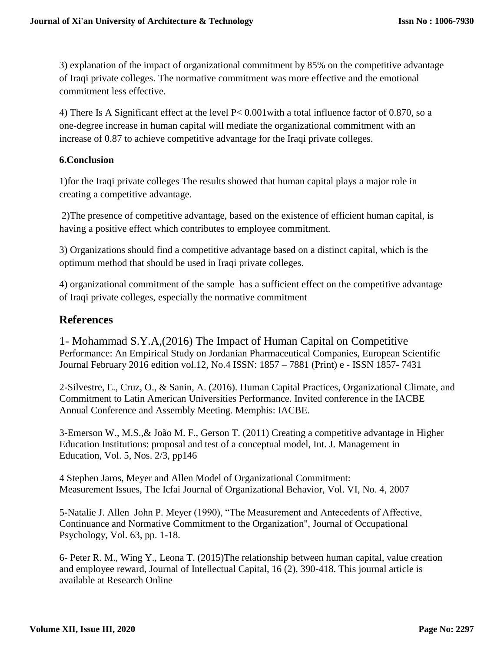3) explanation of the impact of organizational commitment by 85% on the competitive advantage of Iraqi private colleges. The normative commitment was more effective and the emotional commitment less effective.

4) There Is A Significant effect at the level P< 0.001with a total influence factor of 0.870, so a one-degree increase in human capital will mediate the organizational commitment with an increase of 0.87 to achieve competitive advantage for the Iraqi private colleges.

## **6.Conclusion**

1)for the Iraqi private colleges The results showed that human capital plays a major role in creating a competitive advantage.

2)The presence of competitive advantage, based on the existence of efficient human capital, is having a positive effect which contributes to employee commitment.

3) Organizations should find a competitive advantage based on a distinct capital, which is the optimum method that should be used in Iraqi private colleges.

4) organizational commitment of the sample has a sufficient effect on the competitive advantage of Iraqi private colleges, especially the normative commitment

# **References**

1- Mohammad S.Y.A,(2016) The Impact of Human Capital on Competitive Performance: An Empirical Study on Jordanian Pharmaceutical Companies, European Scientific Journal February 2016 edition vol.12, No.4 ISSN: 1857 – 7881 (Print) e - ISSN 1857- 7431

2-Silvestre, E., Cruz, O., & Sanin, A. (2016). Human Capital Practices, Organizational Climate, and Commitment to Latin American Universities Performance. Invited conference in the IACBE Annual Conference and Assembly Meeting. Memphis: IACBE.

3-Emerson W., M.S.,& João M. F., Gerson T. (2011) Creating a competitive advantage in Higher Education Institutions: proposal and test of a conceptual model, Int. J. Management in Education, Vol. 5, Nos. 2/3, pp146

4 Stephen Jaros, Meyer and Allen Model of Organizational Commitment: Measurement Issues, The Icfai Journal of Organizational Behavior, Vol. VI, No. 4, 2007

5**-**Natalie J. Allen John P. Meyer (1990), "The Measurement and Antecedents of Affective, Continuance and Normative Commitment to the Organization", Journal of Occupational Psychology, Vol. 63, pp. 1-18.

6- Peter R. M., Wing Y., Leona T. (2015)The relationship between human capital, value creation and employee reward, Journal of Intellectual Capital, 16 (2), 390-418. This journal article is available at Research Online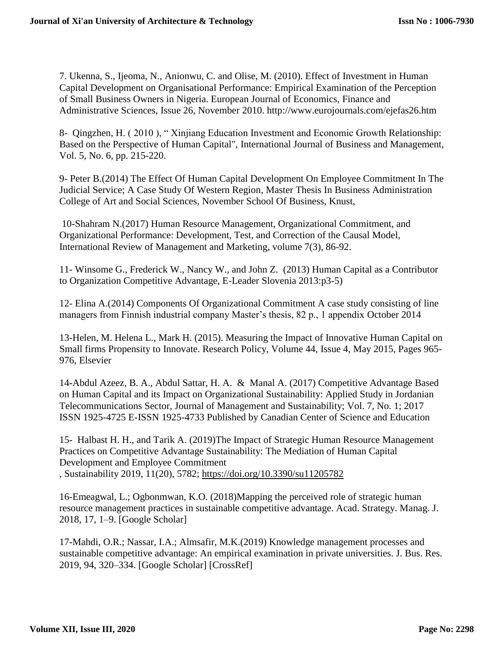7. Ukenna, S., Ijeoma, N., Anionwu, C. and Olise, M. (2010). Effect of Investment in Human Capital Development on Organisational Performance: Empirical Examination of the Perception of Small Business Owners in Nigeria. European Journal of Economics, Finance and Administrative Sciences, Issue 26, November 2010. http://www.eurojournals.com/ejefas26.htm

8- Qingzhen, H. ( 2010 ), " Xinjiang Education Investment and Economic Growth Relationship: Based on the Perspective of Human Capital", International Journal of Business and Management, Vol. 5, No. 6, pp. 215-220.

9- Peter B.(2014) The Effect Of Human Capital Development On Employee Commitment In The Judicial Service; A Case Study Of Western Region, Master Thesis In Business Administration College of Art and Social Sciences, November School Of Business, Knust,

10-Shahram N.(2017) Human Resource Management, Organizational Commitment, and Organizational Performance: Development, Test, and Correction of the Causal Model, International Review of Management and Marketing, volume 7(3), 86-92.

11- Winsome G., Frederick W., Nancy W., and John Z. (2013) Human Capital as a Contributor to Organization Competitive Advantage, E-Leader Slovenia 2013:p3-5)

12- Elina A.(2014) Components Of Organizational Commitment A case study consisting of line managers from Finnish industrial company Master's thesis, 82 p., 1 appendix October 2014

13-Helen, M. Helena L., Mark H. (2015). Measuring the Impact of Innovative Human Capital on Small firms Propensity to Innovate. Research Policy, Volume 44, Issue 4, May 2015, Pages 965- 976, Elsevier

14-Abdul Azeez, B. A., Abdul Sattar, H. A. & Manal A. (2017) Competitive Advantage Based on Human Capital and its Impact on Organizational Sustainability: Applied Study in Jordanian Telecommunications Sector, Journal of Management and Sustainability; Vol. 7, No. 1; 2017 ISSN 1925-4725 E-ISSN 1925-4733 Published by Canadian Center of Science and Education

15- Halbast H. H., and Tarik A. (2019)The Impact of Strategic Human Resource Management Practices on Competitive Advantage Sustainability: The Mediation of Human Capital Development and Employee Commitment , Sustainability 2019, 11(20), 5782;<https://doi.org/10.3390/su11205782>

16-Emeagwal, L.; Ogbonmwan, K.O. (2018)Mapping the perceived role of strategic human resource management practices in sustainable competitive advantage. Acad. Strategy. Manag. J. 2018, 17, 1–9. [Google Scholar]

17-Mahdi, O.R.; Nassar, I.A.; Almsafir, M.K.(2019) Knowledge management processes and sustainable competitive advantage: An empirical examination in private universities. J. Bus. Res. 2019, 94, 320–334. [Google Scholar] [CrossRef]